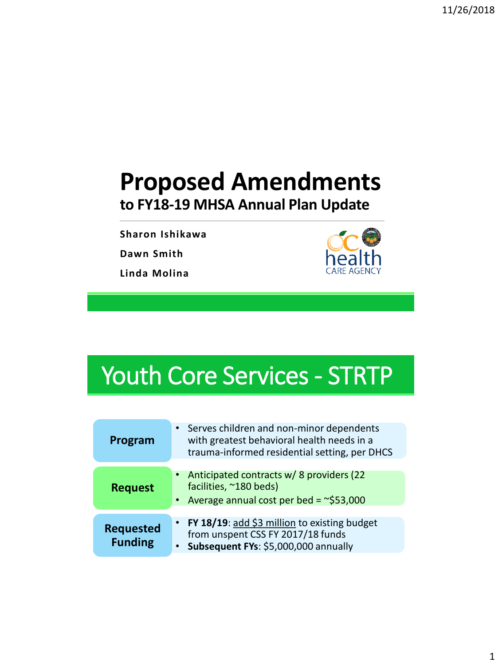## **Proposed Amendments to FY18-19 MHSA Annual Plan Update**

**Sharon Ishikawa**

**Dawn Smith**

**Linda Molina**



## Youth Core Services - STRTP

| Program                            | Serves children and non-minor dependents<br>with greatest behavioral health needs in a<br>trauma-informed residential setting, per DHCS |
|------------------------------------|-----------------------------------------------------------------------------------------------------------------------------------------|
| <b>Request</b>                     | Anticipated contracts w/ 8 providers (22<br>facilities, ~180 beds)<br>Average annual cost per bed = $\approx$ \$53,000                  |
| <b>Requested</b><br><b>Funding</b> | FY 18/19: add \$3 million to existing budget<br>from unspent CSS FY 2017/18 funds<br>Subsequent FYs: \$5,000,000 annually               |